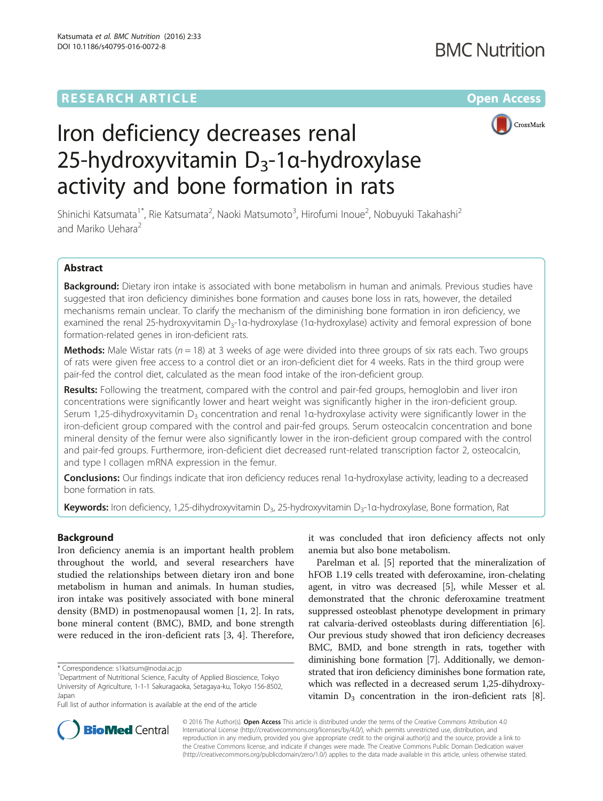# **RESEARCH ARTICLE External Structure Community Community Community Community Community Community Community Community**



# Iron deficiency decreases renal 25-hydroxyvitamin D<sub>3</sub>-1α-hydroxylase activity and bone formation in rats

Shinichi Katsumata<sup>1\*</sup>, Rie Katsumata<sup>2</sup>, Naoki Matsumoto<sup>3</sup>, Hirofumi Inoue<sup>2</sup>, Nobuyuki Takahashi<sup>2</sup> and Mariko Uehara<sup>2</sup>

# Abstract

Background: Dietary iron intake is associated with bone metabolism in human and animals. Previous studies have suggested that iron deficiency diminishes bone formation and causes bone loss in rats, however, the detailed mechanisms remain unclear. To clarify the mechanism of the diminishing bone formation in iron deficiency, we examined the renal 25-hydroxyvitamin D<sub>3</sub>-1α-hydroxylase (1α-hydroxylase) activity and femoral expression of bone formation-related genes in iron-deficient rats.

**Methods:** Male Wistar rats ( $n = 18$ ) at 3 weeks of age were divided into three groups of six rats each. Two groups of rats were given free access to a control diet or an iron-deficient diet for 4 weeks. Rats in the third group were pair-fed the control diet, calculated as the mean food intake of the iron-deficient group.

**Results:** Following the treatment, compared with the control and pair-fed groups, hemoglobin and liver iron concentrations were significantly lower and heart weight was significantly higher in the iron-deficient group. Serum 1,25-dihydroxyvitamin D<sub>3</sub> concentration and renal 1α-hydroxylase activity were significantly lower in the iron-deficient group compared with the control and pair-fed groups. Serum osteocalcin concentration and bone mineral density of the femur were also significantly lower in the iron-deficient group compared with the control and pair-fed groups. Furthermore, iron-deficient diet decreased runt-related transcription factor 2, osteocalcin, and type I collagen mRNA expression in the femur.

Conclusions: Our findings indicate that iron deficiency reduces renal 1α-hydroxylase activity, leading to a decreased bone formation in rats.

Keywords: Iron deficiency, 1,25-dihydroxyvitamin D<sub>3</sub>, 25-hydroxyvitamin D<sub>3</sub>-1α-hydroxylase, Bone formation, Rat

# Background

Iron deficiency anemia is an important health problem throughout the world, and several researchers have studied the relationships between dietary iron and bone metabolism in human and animals. In human studies, iron intake was positively associated with bone mineral density (BMD) in postmenopausal women [\[1](#page-6-0), [2\]](#page-6-0). In rats, bone mineral content (BMC), BMD, and bone strength were reduced in the iron-deficient rats [[3, 4](#page-6-0)]. Therefore,

it was concluded that iron deficiency affects not only anemia but also bone metabolism.

Parelman et al. [\[5](#page-6-0)] reported that the mineralization of hFOB 1.19 cells treated with deferoxamine, iron-chelating agent, in vitro was decreased [\[5](#page-6-0)], while Messer et al. demonstrated that the chronic deferoxamine treatment suppressed osteoblast phenotype development in primary rat calvaria-derived osteoblasts during differentiation [[6](#page-6-0)]. Our previous study showed that iron deficiency decreases BMC, BMD, and bone strength in rats, together with diminishing bone formation [[7](#page-6-0)]. Additionally, we demonstrated that iron deficiency diminishes bone formation rate, which was reflected in a decreased serum 1,25-dihydroxyvitamin  $D_3$  concentration in the iron-deficient rats [[8](#page-6-0)].



© 2016 The Author(s). Open Access This article is distributed under the terms of the Creative Commons Attribution 4.0 International License [\(http://creativecommons.org/licenses/by/4.0/](http://creativecommons.org/licenses/by/4.0/)), which permits unrestricted use, distribution, and reproduction in any medium, provided you give appropriate credit to the original author(s) and the source, provide a link to the Creative Commons license, and indicate if changes were made. The Creative Commons Public Domain Dedication waiver [\(http://creativecommons.org/publicdomain/zero/1.0/](http://creativecommons.org/publicdomain/zero/1.0/)) applies to the data made available in this article, unless otherwise stated.

<sup>\*</sup> Correspondence: [s1katsum@nodai.ac.jp](mailto:s1katsum@nodai.ac.jp) <sup>1</sup>

<sup>&</sup>lt;sup>1</sup>Department of Nutritional Science, Faculty of Applied Bioscience, Tokyo University of Agriculture, 1-1-1 Sakuragaoka, Setagaya-ku, Tokyo 156-8502, Japan

Full list of author information is available at the end of the article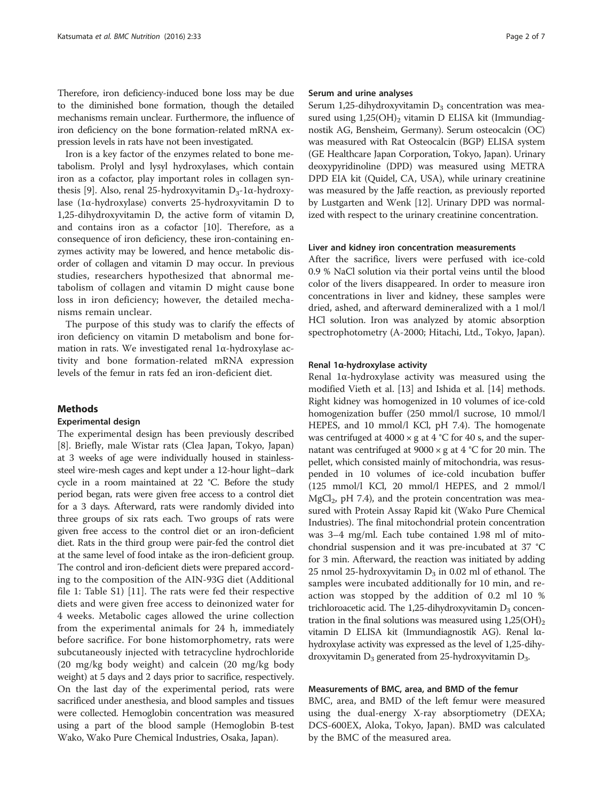Therefore, iron deficiency-induced bone loss may be due to the diminished bone formation, though the detailed mechanisms remain unclear. Furthermore, the influence of iron deficiency on the bone formation-related mRNA expression levels in rats have not been investigated.

Iron is a key factor of the enzymes related to bone metabolism. Prolyl and lysyl hydroxylases, which contain iron as a cofactor, play important roles in collagen syn-thesis [[9\]](#page-6-0). Also, renal 25-hydroxyvitamin  $D_3$ -1α-hydroxylase (1α-hydroxylase) converts 25-hydroxyvitamin D to 1,25-dihydroxyvitamin D, the active form of vitamin D, and contains iron as a cofactor [\[10\]](#page-6-0). Therefore, as a consequence of iron deficiency, these iron-containing enzymes activity may be lowered, and hence metabolic disorder of collagen and vitamin D may occur. In previous studies, researchers hypothesized that abnormal metabolism of collagen and vitamin D might cause bone loss in iron deficiency; however, the detailed mechanisms remain unclear.

The purpose of this study was to clarify the effects of iron deficiency on vitamin D metabolism and bone formation in rats. We investigated renal 1α-hydroxylase activity and bone formation-related mRNA expression levels of the femur in rats fed an iron-deficient diet.

# Methods

# Experimental design

The experimental design has been previously described [[8\]](#page-6-0). Briefly, male Wistar rats (Clea Japan, Tokyo, Japan) at 3 weeks of age were individually housed in stainlesssteel wire-mesh cages and kept under a 12-hour light–dark cycle in a room maintained at 22 °C. Before the study period began, rats were given free access to a control diet for a 3 days. Afterward, rats were randomly divided into three groups of six rats each. Two groups of rats were given free access to the control diet or an iron-deficient diet. Rats in the third group were pair-fed the control diet at the same level of food intake as the iron-deficient group. The control and iron-deficient diets were prepared according to the composition of the AIN-93G diet (Additional file [1:](#page-5-0) Table S1) [\[11](#page-6-0)]. The rats were fed their respective diets and were given free access to deinonized water for 4 weeks. Metabolic cages allowed the urine collection from the experimental animals for 24 h, immediately before sacrifice. For bone histomorphometry, rats were subcutaneously injected with tetracycline hydrochloride (20 mg/kg body weight) and calcein (20 mg/kg body weight) at 5 days and 2 days prior to sacrifice, respectively. On the last day of the experimental period, rats were sacrificed under anesthesia, and blood samples and tissues were collected. Hemoglobin concentration was measured using a part of the blood sample (Hemoglobin B-test Wako, Wako Pure Chemical Industries, Osaka, Japan).

#### Serum and urine analyses

Serum 1,25-dihydroxyvitamin  $D_3$  concentration was measured using  $1,25(OH)$ <sub>2</sub> vitamin D ELISA kit (Immundiagnostik AG, Bensheim, Germany). Serum osteocalcin (OC) was measured with Rat Osteocalcin (BGP) ELISA system (GE Healthcare Japan Corporation, Tokyo, Japan). Urinary deoxypyridinoline (DPD) was measured using METRA DPD EIA kit (Quidel, CA, USA), while urinary creatinine was measured by the Jaffe reaction, as previously reported by Lustgarten and Wenk [[12](#page-6-0)]. Urinary DPD was normalized with respect to the urinary creatinine concentration.

### Liver and kidney iron concentration measurements

After the sacrifice, livers were perfused with ice-cold 0.9 % NaCl solution via their portal veins until the blood color of the livers disappeared. In order to measure iron concentrations in liver and kidney, these samples were dried, ashed, and afterward demineralized with a 1 mol/l HCl solution. Iron was analyzed by atomic absorption spectrophotometry (A-2000; Hitachi, Ltd., Tokyo, Japan).

#### Renal 1α-hydroxylase activity

Renal 1α-hydroxylase activity was measured using the modified Vieth et al. [\[13\]](#page-6-0) and Ishida et al. [[14\]](#page-6-0) methods. Right kidney was homogenized in 10 volumes of ice-cold homogenization buffer (250 mmol/l sucrose, 10 mmol/l HEPES, and 10 mmol/l KCl, pH 7.4). The homogenate was centrifuged at  $4000 \times g$  at  $4 °C$  for  $40 s$ , and the supernatant was centrifuged at  $9000 \times g$  at  $4 °C$  for 20 min. The pellet, which consisted mainly of mitochondria, was resuspended in 10 volumes of ice-cold incubation buffer (125 mmol/l KCl, 20 mmol/l HEPES, and 2 mmol/l  $MgCl<sub>2</sub>$ , pH 7.4), and the protein concentration was measured with Protein Assay Rapid kit (Wako Pure Chemical Industries). The final mitochondrial protein concentration was 3–4 mg/ml. Each tube contained 1.98 ml of mitochondrial suspension and it was pre-incubated at 37 °C for 3 min. Afterward, the reaction was initiated by adding 25 nmol 25-hydroxyvitamin  $D_3$  in 0.02 ml of ethanol. The samples were incubated additionally for 10 min, and reaction was stopped by the addition of 0.2 ml 10 % trichloroacetic acid. The 1,25-dihydroxyvitamin  $D_3$  concentration in the final solutions was measured using  $1,25(OH)<sub>2</sub>$ vitamin D ELISA kit (Immundiagnostik AG). Renal lαhydroxylase activity was expressed as the level of 1,25-dihydroxyvitamin  $D_3$  generated from 25-hydroxyvitamin  $D_3$ .

# Measurements of BMC, area, and BMD of the femur

BMC, area, and BMD of the left femur were measured using the dual-energy X-ray absorptiometry (DEXA; DCS-600EX, Aloka, Tokyo, Japan). BMD was calculated by the BMC of the measured area.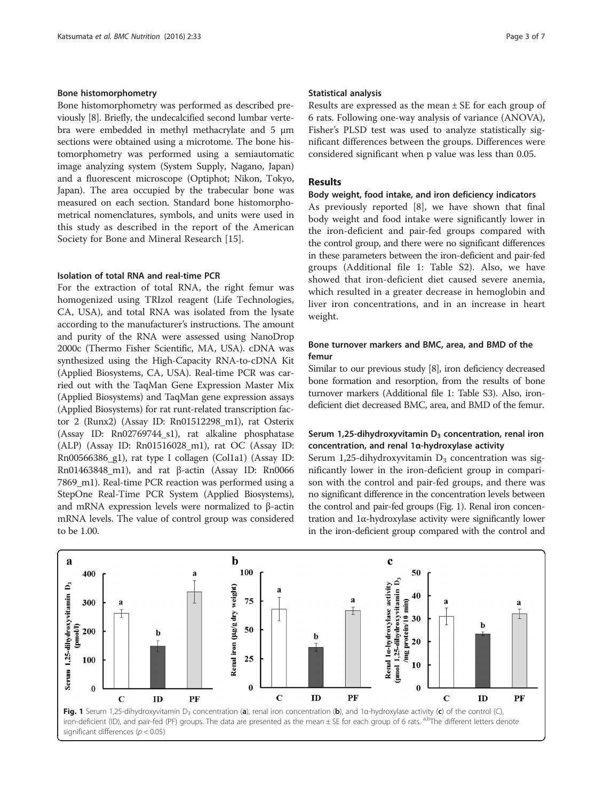# Bone histomorphometry

Bone histomorphometry was performed as described previously [\[8](#page-6-0)]. Briefly, the undecalcified second lumbar vertebra were embedded in methyl methacrylate and 5 μm sections were obtained using a microtome. The bone histomorphometry was performed using a semiautomatic image analyzing system (System Supply, Nagano, Japan) and a fluorescent microscope (Optiphot; Nikon, Tokyo, Japan). The area occupied by the trabecular bone was measured on each section. Standard bone histomorphometrical nomenclatures, symbols, and units were used in this study as described in the report of the American Society for Bone and Mineral Research [\[15\]](#page-6-0).

# Isolation of total RNA and real-time PCR

For the extraction of total RNA, the right femur was homogenized using TRIzol reagent (Life Technologies, CA, USA), and total RNA was isolated from the lysate according to the manufacturer's instructions. The amount and purity of the RNA were assessed using NanoDrop 2000c (Thermo Fisher Scientific, MA, USA). cDNA was synthesized using the High-Capacity RNA-to-cDNA Kit (Applied Biosystems, CA, USA). Real-time PCR was carried out with the TaqMan Gene Expression Master Mix (Applied Biosystems) and TaqMan gene expression assays (Applied Biosystems) for rat runt-related transcription factor 2 (Runx2) (Assay ID: Rn01512298\_m1), rat Osterix (Assay ID: Rn02769744\_s1), rat alkaline phosphatase (ALP) (Assay ID:  $Rn01516028$  m1), rat OC (Assay ID: Rn00566386\_g1), rat type I collagen (Col1a1) (Assay ID: Rn01463848\_m1), and rat β-actin (Assay ID: Rn0066 7869\_m1). Real-time PCR reaction was performed using a StepOne Real-Time PCR System (Applied Biosystems), and mRNA expression levels were normalized to β-actin mRNA levels. The value of control group was considered to be 1.00.

# Statistical analysis

Results are expressed as the mean  $\pm$  SE for each group of 6 rats. Following one-way analysis of variance (ANOVA), Fisher's PLSD test was used to analyze statistically significant differences between the groups. Differences were considered significant when p value was less than 0.05.

# Results

#### Body weight, food intake, and iron deficiency indicators

As previously reported [\[8](#page-6-0)], we have shown that final body weight and food intake were significantly lower in the iron-deficient and pair-fed groups compared with the control group, and there were no significant differences in these parameters between the iron-deficient and pair-fed groups (Additional file [1](#page-5-0): Table S2). Also, we have showed that iron-deficient diet caused severe anemia, which resulted in a greater decrease in hemoglobin and liver iron concentrations, and in an increase in heart weight.

# Bone turnover markers and BMC, area, and BMD of the femur

Similar to our previous study [\[8](#page-6-0)], iron deficiency decreased bone formation and resorption, from the results of bone turnover markers (Additional file [1](#page-5-0): Table S3). Also, irondeficient diet decreased BMC, area, and BMD of the femur.

# Serum 1,25-dihydroxyvitamin  $D_3$  concentration, renal iron concentration, and renal 1α-hydroxylase activity

Serum 1,25-dihydroxyvitamin  $D_3$  concentration was significantly lower in the iron-deficient group in comparison with the control and pair-fed groups, and there was no significant difference in the concentration levels between the control and pair-fed groups (Fig. 1). Renal iron concentration and 1α-hydroxylase activity were significantly lower in the iron-deficient group compared with the control and

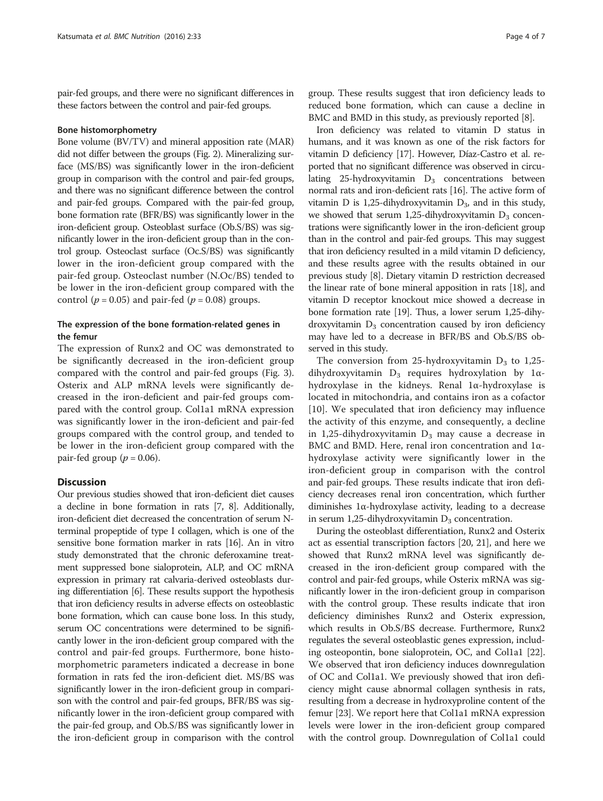pair-fed groups, and there were no significant differences in these factors between the control and pair-fed groups.

#### Bone histomorphometry

Bone volume (BV/TV) and mineral apposition rate (MAR) did not differ between the groups (Fig. [2](#page-4-0)). Mineralizing surface (MS/BS) was significantly lower in the iron-deficient group in comparison with the control and pair-fed groups, and there was no significant difference between the control and pair-fed groups. Compared with the pair-fed group, bone formation rate (BFR/BS) was significantly lower in the iron-deficient group. Osteoblast surface (Ob.S/BS) was significantly lower in the iron-deficient group than in the control group. Osteoclast surface (Oc.S/BS) was significantly lower in the iron-deficient group compared with the pair-fed group. Osteoclast number (N.Oc/BS) tended to be lower in the iron-deficient group compared with the control ( $p = 0.05$ ) and pair-fed ( $p = 0.08$ ) groups.

# The expression of the bone formation-related genes in the femur

The expression of Runx2 and OC was demonstrated to be significantly decreased in the iron-deficient group compared with the control and pair-fed groups (Fig. [3](#page-5-0)). Osterix and ALP mRNA levels were significantly decreased in the iron-deficient and pair-fed groups compared with the control group. Col1a1 mRNA expression was significantly lower in the iron-deficient and pair-fed groups compared with the control group, and tended to be lower in the iron-deficient group compared with the pair-fed group ( $p = 0.06$ ).

# **Discussion**

Our previous studies showed that iron-deficient diet causes a decline in bone formation in rats [\[7, 8\]](#page-6-0). Additionally, iron-deficient diet decreased the concentration of serum Nterminal propeptide of type I collagen, which is one of the sensitive bone formation marker in rats [[16](#page-6-0)]. An in vitro study demonstrated that the chronic deferoxamine treatment suppressed bone sialoprotein, ALP, and OC mRNA expression in primary rat calvaria-derived osteoblasts during differentiation [[6\]](#page-6-0). These results support the hypothesis that iron deficiency results in adverse effects on osteoblastic bone formation, which can cause bone loss. In this study, serum OC concentrations were determined to be significantly lower in the iron-deficient group compared with the control and pair-fed groups. Furthermore, bone histomorphometric parameters indicated a decrease in bone formation in rats fed the iron-deficient diet. MS/BS was significantly lower in the iron-deficient group in comparison with the control and pair-fed groups, BFR/BS was significantly lower in the iron-deficient group compared with the pair-fed group, and Ob.S/BS was significantly lower in the iron-deficient group in comparison with the control group. These results suggest that iron deficiency leads to reduced bone formation, which can cause a decline in BMC and BMD in this study, as previously reported [\[8](#page-6-0)].

Iron deficiency was related to vitamin D status in humans, and it was known as one of the risk factors for vitamin D deficiency [[17\]](#page-6-0). However, Díaz-Castro et al. reported that no significant difference was observed in circulating 25-hydroxyvitamin  $D_3$  concentrations between normal rats and iron-deficient rats [\[16\]](#page-6-0). The active form of vitamin D is 1,25-dihydroxyvitamin  $D_3$ , and in this study, we showed that serum 1,25-dihydroxyvitamin  $D_3$  concentrations were significantly lower in the iron-deficient group than in the control and pair-fed groups. This may suggest that iron deficiency resulted in a mild vitamin D deficiency, and these results agree with the results obtained in our previous study [[8](#page-6-0)]. Dietary vitamin D restriction decreased the linear rate of bone mineral apposition in rats [\[18\]](#page-6-0), and vitamin D receptor knockout mice showed a decrease in bone formation rate [\[19\]](#page-6-0). Thus, a lower serum 1,25-dihydroxyvitamin  $D_3$  concentration caused by iron deficiency may have led to a decrease in BFR/BS and Ob.S/BS observed in this study.

The conversion from 25-hydroxyvitamin  $D_3$  to 1,25dihydroxyvitamin  $D_3$  requires hydroxylation by 1 $\alpha$ hydroxylase in the kidneys. Renal 1α-hydroxylase is located in mitochondria, and contains iron as a cofactor [[10\]](#page-6-0). We speculated that iron deficiency may influence the activity of this enzyme, and consequently, a decline in 1,25-dihydroxyvitamin  $D_3$  may cause a decrease in BMC and BMD. Here, renal iron concentration and 1αhydroxylase activity were significantly lower in the iron-deficient group in comparison with the control and pair-fed groups. These results indicate that iron deficiency decreases renal iron concentration, which further diminishes 1α-hydroxylase activity, leading to a decrease in serum 1,25-dihydroxyvitamin  $D_3$  concentration.

During the osteoblast differentiation, Runx2 and Osterix act as essential transcription factors [[20](#page-6-0), [21](#page-6-0)], and here we showed that Runx2 mRNA level was significantly decreased in the iron-deficient group compared with the control and pair-fed groups, while Osterix mRNA was significantly lower in the iron-deficient group in comparison with the control group. These results indicate that iron deficiency diminishes Runx2 and Osterix expression, which results in Ob.S/BS decrease. Furthermore, Runx2 regulates the several osteoblastic genes expression, including osteopontin, bone sialoprotein, OC, and Col1a1 [[22](#page-6-0)]. We observed that iron deficiency induces downregulation of OC and Col1a1. We previously showed that iron deficiency might cause abnormal collagen synthesis in rats, resulting from a decrease in hydroxyproline content of the femur [\[23](#page-6-0)]. We report here that Col1a1 mRNA expression levels were lower in the iron-deficient group compared with the control group. Downregulation of Col1a1 could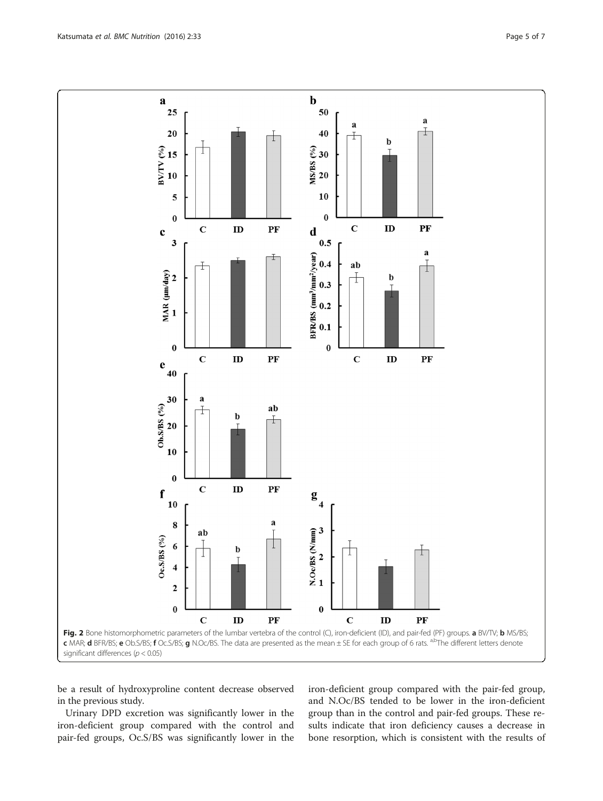be a result of hydroxyproline content decrease observed in the previous study.

Urinary DPD excretion was significantly lower in the iron-deficient group compared with the control and pair-fed groups, Oc.S/BS was significantly lower in the iron-deficient group compared with the pair-fed group, and N.Oc/BS tended to be lower in the iron-deficient group than in the control and pair-fed groups. These results indicate that iron deficiency causes a decrease in bone resorption, which is consistent with the results of

<span id="page-4-0"></span>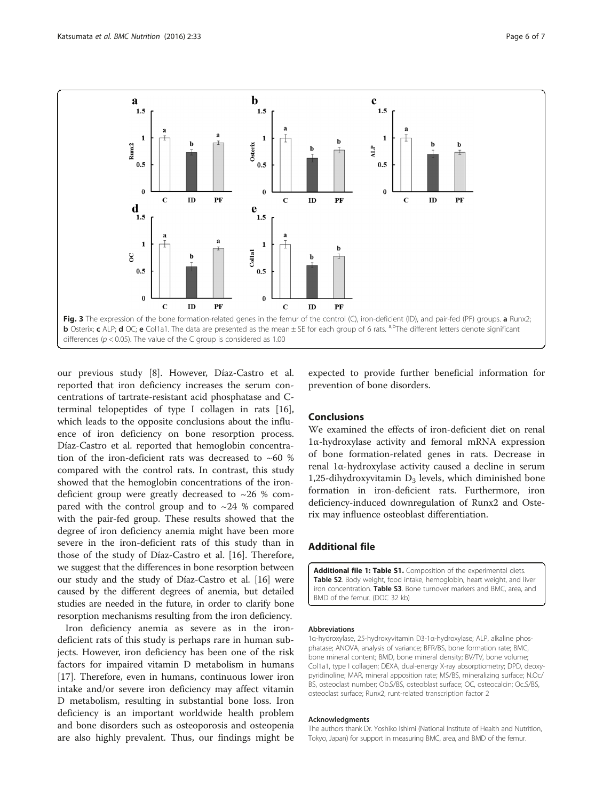<span id="page-5-0"></span>

our previous study [\[8](#page-6-0)]. However, Díaz-Castro et al. reported that iron deficiency increases the serum concentrations of tartrate-resistant acid phosphatase and Cterminal telopeptides of type I collagen in rats [\[16](#page-6-0)], which leads to the opposite conclusions about the influence of iron deficiency on bone resorption process. Díaz-Castro et al. reported that hemoglobin concentration of the iron-deficient rats was decreased to ~60 % compared with the control rats. In contrast, this study showed that the hemoglobin concentrations of the irondeficient group were greatly decreased to  $\sim$ 26 % compared with the control group and to  $\sim$  24 % compared with the pair-fed group. These results showed that the degree of iron deficiency anemia might have been more severe in the iron-deficient rats of this study than in those of the study of Díaz-Castro et al. [\[16\]](#page-6-0). Therefore, we suggest that the differences in bone resorption between our study and the study of Díaz-Castro et al. [\[16](#page-6-0)] were caused by the different degrees of anemia, but detailed studies are needed in the future, in order to clarify bone resorption mechanisms resulting from the iron deficiency.

Iron deficiency anemia as severe as in the irondeficient rats of this study is perhaps rare in human subjects. However, iron deficiency has been one of the risk factors for impaired vitamin D metabolism in humans [[17\]](#page-6-0). Therefore, even in humans, continuous lower iron intake and/or severe iron deficiency may affect vitamin D metabolism, resulting in substantial bone loss. Iron deficiency is an important worldwide health problem and bone disorders such as osteoporosis and osteopenia are also highly prevalent. Thus, our findings might be

expected to provide further beneficial information for prevention of bone disorders.

# Conclusions

We examined the effects of iron-deficient diet on renal 1α-hydroxylase activity and femoral mRNA expression of bone formation-related genes in rats. Decrease in renal 1α-hydroxylase activity caused a decline in serum 1,25-dihydroxyvitamin  $D_3$  levels, which diminished bone formation in iron-deficient rats. Furthermore, iron deficiency-induced downregulation of Runx2 and Osterix may influence osteoblast differentiation.

# Additional file

[Additional file 1: Table S1.](dx.doi.org/10.1186/s40795-016-0072-8) Composition of the experimental diets. Table S2. Body weight, food intake, hemoglobin, heart weight, and liver iron concentration. Table S3. Bone turnover markers and BMC, area, and BMD of the femur. (DOC 32 kb)

#### Abbreviations

1α-hydroxylase, 25-hydroxyvitamin D3-1α-hydroxylase; ALP, alkaline phosphatase; ANOVA, analysis of variance; BFR/BS, bone formation rate; BMC, bone mineral content; BMD, bone mineral density; BV/TV, bone volume; Col1a1, type I collagen; DEXA, dual-energy X-ray absorptiometry; DPD, deoxypyridinoline; MAR, mineral apposition rate; MS/BS, mineralizing surface; N.Oc/ BS, osteoclast number; Ob.S/BS, osteoblast surface; OC, osteocalcin; Oc.S/BS, osteoclast surface; Runx2, runt-related transcription factor 2

#### Acknowledgments

The authors thank Dr. Yoshiko Ishimi (National Institute of Health and Nutrition, Tokyo, Japan) for support in measuring BMC, area, and BMD of the femur.